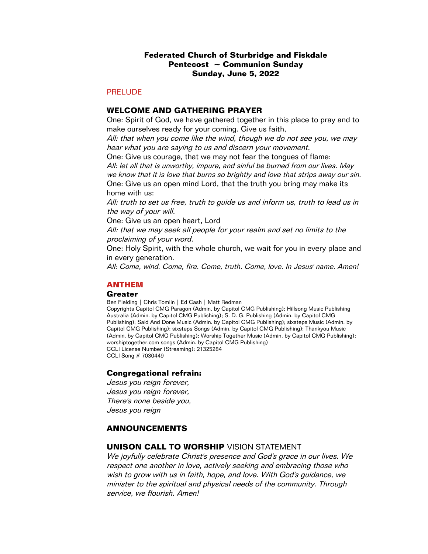# **Federated Church of Sturbridge and Fiskdale Pentecost ~ Communion Sunday Sunday, June 5, 2022**

### PRELUDE

### **WELCOME AND GATHERING PRAYER**

One: Spirit of God, we have gathered together in this place to pray and to make ourselves ready for your coming. Give us faith,

All: that when you come like the wind, though we do not see you, we may hear what you are saying to us and discern your movement.

One: Give us courage, that we may not fear the tongues of flame: All: let all that is unworthy, impure, and sinful be burned from our lives. May we know that it is love that burns so brightly and love that strips away our sin. One: Give us an open mind Lord, that the truth you bring may make its home with us:

All: truth to set us free, truth to guide us and inform us, truth to lead us in the way of your will.

One: Give us an open heart, Lord

All: that we may seek all people for your realm and set no limits to the proclaiming of your word.

One: Holy Spirit, with the whole church, we wait for you in every place and in every generation.

All: Come, wind. Come, fire. Come, truth. Come, love. In Jesus' name. Amen!

## **ANTHEM**

#### **Greater**

Ben Fielding | Chris Tomlin | Ed Cash | Matt Redman

Copyrights Capitol CMG Paragon (Admin. by Capitol CMG Publishing); Hillsong Music Publishing Australia (Admin. by Capitol CMG Publishing); S. D. G. Publishing (Admin. by Capitol CMG Publishing); Said And Done Music (Admin. by Capitol CMG Publishing); sixsteps Music (Admin. by Capitol CMG Publishing); sixsteps Songs (Admin. by Capitol CMG Publishing); Thankyou Music (Admin. by Capitol CMG Publishing); Worship Together Music (Admin. by Capitol CMG Publishing); worshiptogether.com songs (Admin. by Capitol CMG Publishing) CCLI License Number (Streaming): 21325284 CCLI Song # 7030449

#### **Congregational refrain:**

Jesus you reign forever, Jesus you reign forever, There's none beside you, Jesus you reign

# **ANNOUNCEMENTS**

# **UNISON CALL TO WORSHIP** VISION STATEMENT

We joyfully celebrate Christ's presence and God's grace in our lives. We respect one another in love, actively seeking and embracing those who wish to grow with us in faith, hope, and love. With God's guidance, we minister to the spiritual and physical needs of the community. Through service, we flourish. Amen!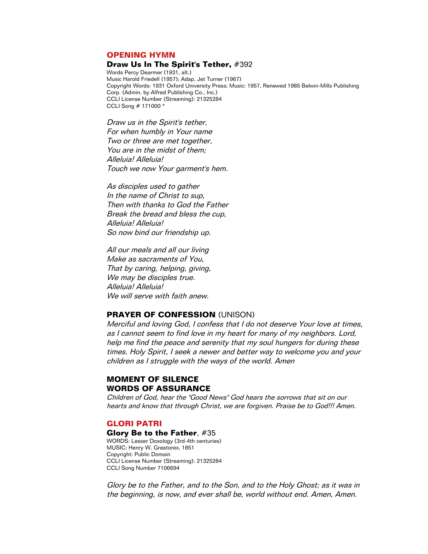### **OPENING HYMN**

#### **Draw Us In The Spirit's Tether,** #392

Words Percy Dearmer (1931, alt.) Music Harold Friedell (1957); Adap, Jet Turner (1967) Copyright Words: 1931 Oxford University Press; Music: 1957, Renewed 1985 Belwin-Mills Publishing Corp. (Admin. by Alfred Publishing Co., Inc.) CCLI License Number (Streaming): 21325284 CCLI Song # 171000 \*

Draw us in the Spirit's tether, For when humbly in Your name Two or three are met together, You are in the midst of them; Alleluia! Alleluia! Touch we now Your garment's hem.

As disciples used to gather In the name of Christ to sup, Then with thanks to God the Father Break the bread and bless the cup, Alleluia! Alleluia! So now bind our friendship up.

All our meals and all our living Make as sacraments of You, That by caring, helping, giving, We may be disciples true. Alleluia! Alleluia! We will serve with faith anew.

## **PRAYER OF CONFESSION** (UNISON)

Merciful and loving God, I confess that I do not deserve Your love at times, as I cannot seem to find love in my heart for many of my neighbors. Lord, help me find the peace and serenity that my soul hungers for during these times. Holy Spirit, I seek a newer and better way to welcome you and your children as I struggle with the ways of the world. Amen

## **MOMENT OF SILENCE WORDS OF ASSURANCE**

Children of God, hear the "Good News" God hears the sorrows that sit on our hearts and know that through Christ, we are forgiven. Praise be to God!!! Amen.

#### **GLORI PATRI**

#### **Glory Be to the Father**, #35

WORDS: Lesser Doxology (3rd-4th centuries) MUSIC: Henry W. Greatorex, 1851 Copyright: Public Domain CCLI License Number (Streaming): 21325284 CCLI Song Number 7106694

Glory be to the Father, and to the Son, and to the Holy Ghost; as it was in the beginning, is now, and ever shall be, world without end. Amen, Amen.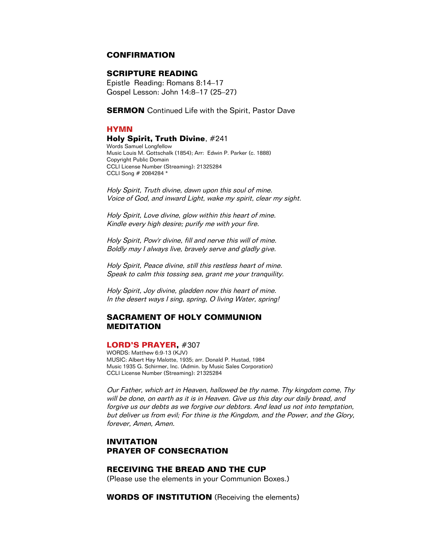# **CONFIRMATION**

## **SCRIPTURE READING**

Epistle Reading: Romans 8:14–17 Gospel Lesson: John 14:8–17 (25–27)

**SERMON** Continued Life with the Spirit, Pastor Dave

#### **HYMN**

#### **Holy Spirit, Truth Divine**, #241

Words Samuel Longfellow Music Louis M. Gottschalk (1854); Arr: Edwin P. Parker (c. 1888) Copyright Public Domain CCLI License Number (Streaming): 21325284 CCLI Song # 2084284 \*

Holy Spirit, Truth divine, dawn upon this soul of mine. Voice of God, and inward Light, wake my spirit, clear my sight.

Holy Spirit, Love divine, glow within this heart of mine. Kindle every high desire; purify me with your fire.

Holy Spirit, Pow'r divine, fill and nerve this will of mine. Boldly may I always live, bravely serve and gladly give.

Holy Spirit, Peace divine, still this restless heart of mine. Speak to calm this tossing sea, grant me your tranquility.

Holy Spirit, Joy divine, gladden now this heart of mine. In the desert ways I sing, spring, O living Water, spring!

### **SACRAMENT OF HOLY COMMUNION MEDITATION**

#### **LORD'S PRAYER,** #307

WORDS: Matthew 6:9-13 (KJV) MUSIC: Albert Hay Malotte, 1935; arr. Donald P. Hustad, 1984 Music 1935 G. Schirmer, Inc. (Admin. by Music Sales Corporation) CCLI License Number (Streaming): 21325284

Our Father, which art in Heaven, hallowed be thy name. Thy kingdom come, Thy will be done, on earth as it is in Heaven. Give us this day our daily bread, and forgive us our debts as we forgive our debtors. And lead us not into temptation, but deliver us from evil; For thine is the Kingdom, and the Power, and the Glory, forever, Amen, Amen.

## **INVITATION PRAYER OF CONSECRATION**

#### **RECEIVING THE BREAD AND THE CUP**

(Please use the elements in your Communion Boxes.)

**WORDS OF INSTITUTION** (Receiving the elements)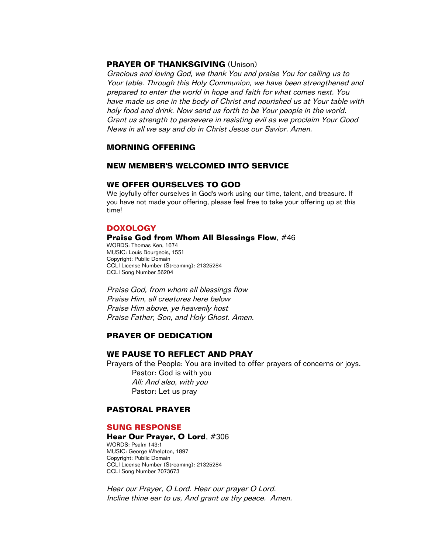## **PRAYER OF THANKSGIVING** (Unison)

Gracious and loving God, we thank You and praise You for calling us to Your table. Through this Holy Communion, we have been strengthened and prepared to enter the world in hope and faith for what comes next. You have made us one in the body of Christ and nourished us at Your table with holy food and drink. Now send us forth to be Your people in the world. Grant us strength to persevere in resisting evil as we proclaim Your Good News in all we say and do in Christ Jesus our Savior. Amen.

### **MORNING OFFERING**

## **NEW MEMBER'S WELCOMED INTO SERVICE**

# **WE OFFER OURSELVES TO GOD**

We joyfully offer ourselves in God's work using our time, talent, and treasure. If you have not made your offering, please feel free to take your offering up at this time!

## **DOXOLOGY**

#### **Praise God from Whom All Blessings Flow**, #46

WORDS: Thomas Ken, 1674 MUSIC: Louis Bourgeois, 1551 Copyright: Public Domain CCLI License Number (Streaming): 21325284 CCLI Song Number 56204

Praise God, from whom all blessings flow Praise Him, all creatures here below Praise Him above, ye heavenly host Praise Father, Son, and Holy Ghost. Amen.

# **PRAYER OF DEDICATION**

## **WE PAUSE TO REFLECT AND PRAY**

Prayers of the People: You are invited to offer prayers of concerns or joys.

Pastor: God is with you All: And also, with you Pastor: Let us pray

# **PASTORAL PRAYER**

#### **SUNG RESPONSE**

## **Hear Our Prayer, O Lord**, #306

WORDS: Psalm 143:1 MUSIC: George Whelpton, 1897 Copyright: Public Domain CCLI License Number (Streaming): 21325284 CCLI Song Number 7073673

Hear our Prayer, O Lord. Hear our prayer O Lord. Incline thine ear to us, And grant us thy peace. Amen.